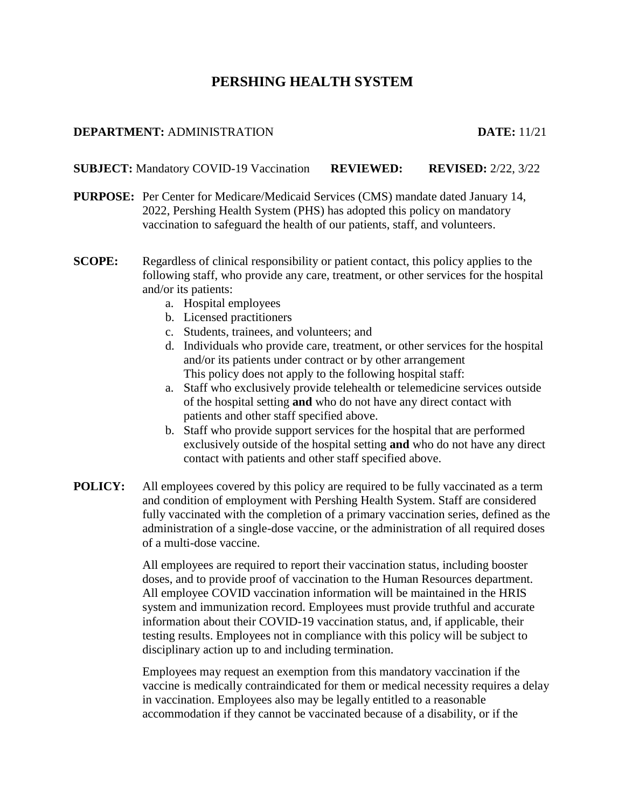# **PERSHING HEALTH SYSTEM**

#### **DEPARTMENT:** ADMINISTRATION **DATE:** 11/21

**SUBJECT:** Mandatory COVID-19 Vaccination **REVIEWED: REVISED:** 2/22, 3/22

- **PURPOSE:** Per Center for Medicare/Medicaid Services (CMS) mandate dated January 14, 2022, Pershing Health System (PHS) has adopted this policy on mandatory vaccination to safeguard the health of our patients, staff, and volunteers.
- **SCOPE:** Regardless of clinical responsibility or patient contact, this policy applies to the following staff, who provide any care, treatment, or other services for the hospital and/or its patients:
	- a. Hospital employees
	- b. Licensed practitioners
	- c. Students, trainees, and volunteers; and
	- d. Individuals who provide care, treatment, or other services for the hospital and/or its patients under contract or by other arrangement This policy does not apply to the following hospital staff:
	- a. Staff who exclusively provide telehealth or telemedicine services outside of the hospital setting **and** who do not have any direct contact with patients and other staff specified above.
	- b. Staff who provide support services for the hospital that are performed exclusively outside of the hospital setting **and** who do not have any direct contact with patients and other staff specified above.
- **POLICY:** All employees covered by this policy are required to be fully vaccinated as a term and condition of employment with Pershing Health System. Staff are considered fully vaccinated with the completion of a primary vaccination series, defined as the administration of a single-dose vaccine, or the administration of all required doses of a multi-dose vaccine.

All employees are required to report their vaccination status, including booster doses, and to provide proof of vaccination to the Human Resources department. All employee COVID vaccination information will be maintained in the HRIS system and immunization record. Employees must provide truthful and accurate information about their COVID-19 vaccination status, and, if applicable, their testing results. Employees not in compliance with this policy will be subject to disciplinary action up to and including termination.

Employees may request an exemption from this mandatory vaccination if the vaccine is medically contraindicated for them or medical necessity requires a delay in vaccination. Employees also may be legally entitled to a reasonable accommodation if they cannot be vaccinated because of a disability, or if the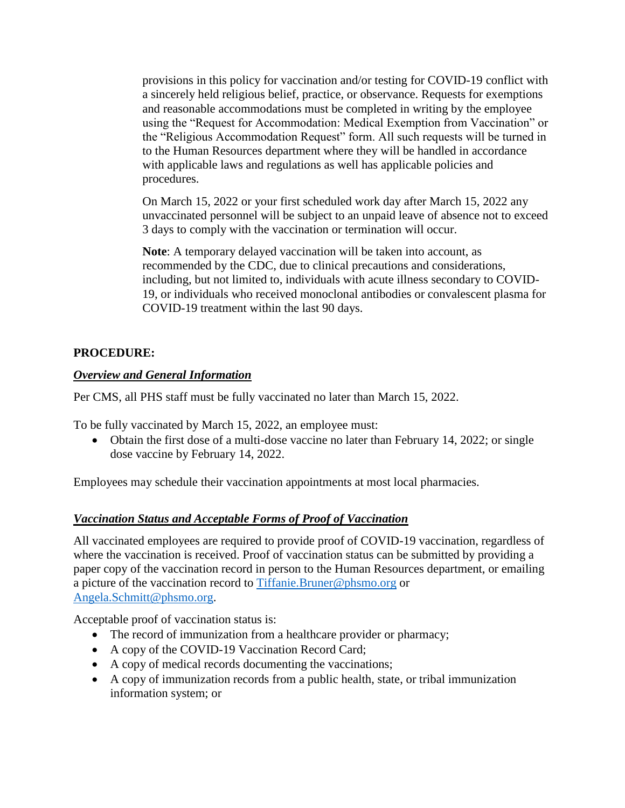provisions in this policy for vaccination and/or testing for COVID-19 conflict with a sincerely held religious belief, practice, or observance. Requests for exemptions and reasonable accommodations must be completed in writing by the employee using the "Request for Accommodation: Medical Exemption from Vaccination" or the "Religious Accommodation Request" form. All such requests will be turned in to the Human Resources department where they will be handled in accordance with applicable laws and regulations as well has applicable policies and procedures.

On March 15, 2022 or your first scheduled work day after March 15, 2022 any unvaccinated personnel will be subject to an unpaid leave of absence not to exceed 3 days to comply with the vaccination or termination will occur.

**Note**: A temporary delayed vaccination will be taken into account, as recommended by the CDC, due to clinical precautions and considerations, including, but not limited to, individuals with acute illness secondary to COVID-19, or individuals who received monoclonal antibodies or convalescent plasma for COVID-19 treatment within the last 90 days.

### **PROCEDURE:**

#### *Overview and General Information*

Per CMS, all PHS staff must be fully vaccinated no later than March 15, 2022.

To be fully vaccinated by March 15, 2022, an employee must:

• Obtain the first dose of a multi-dose vaccine no later than February 14, 2022; or single dose vaccine by February 14, 2022.

Employees may schedule their vaccination appointments at most local pharmacies.

### *Vaccination Status and Acceptable Forms of Proof of Vaccination*

All vaccinated employees are required to provide proof of COVID-19 vaccination, regardless of where the vaccination is received. Proof of vaccination status can be submitted by providing a paper copy of the vaccination record in person to the Human Resources department, or emailing a picture of the vaccination record to [Tiffanie.Bruner@phsmo.org](mailto:Tiffanie.Bruner@phsmo.org) or [Angela.Schmitt@phsmo.org.](mailto:Angela.Schmitt@phsmo.org)

Acceptable proof of vaccination status is:

- The record of immunization from a healthcare provider or pharmacy;
- A copy of the COVID-19 Vaccination Record Card;
- A copy of medical records documenting the vaccinations;
- A copy of immunization records from a public health, state, or tribal immunization information system; or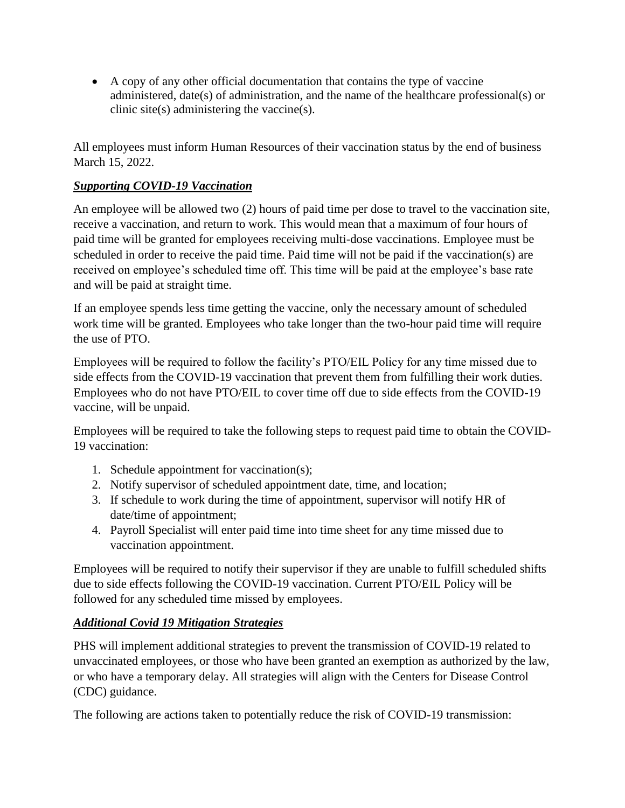A copy of any other official documentation that contains the type of vaccine administered, date(s) of administration, and the name of the healthcare professional(s) or clinic site(s) administering the vaccine(s).

All employees must inform Human Resources of their vaccination status by the end of business March 15, 2022.

## *Supporting COVID-19 Vaccination*

An employee will be allowed two (2) hours of paid time per dose to travel to the vaccination site, receive a vaccination, and return to work. This would mean that a maximum of four hours of paid time will be granted for employees receiving multi-dose vaccinations. Employee must be scheduled in order to receive the paid time. Paid time will not be paid if the vaccination(s) are received on employee's scheduled time off. This time will be paid at the employee's base rate and will be paid at straight time.

If an employee spends less time getting the vaccine, only the necessary amount of scheduled work time will be granted. Employees who take longer than the two-hour paid time will require the use of PTO.

Employees will be required to follow the facility's PTO/EIL Policy for any time missed due to side effects from the COVID-19 vaccination that prevent them from fulfilling their work duties. Employees who do not have PTO/EIL to cover time off due to side effects from the COVID-19 vaccine, will be unpaid.

Employees will be required to take the following steps to request paid time to obtain the COVID-19 vaccination:

- 1. Schedule appointment for vaccination(s);
- 2. Notify supervisor of scheduled appointment date, time, and location;
- 3. If schedule to work during the time of appointment, supervisor will notify HR of date/time of appointment;
- 4. Payroll Specialist will enter paid time into time sheet for any time missed due to vaccination appointment.

Employees will be required to notify their supervisor if they are unable to fulfill scheduled shifts due to side effects following the COVID-19 vaccination. Current PTO/EIL Policy will be followed for any scheduled time missed by employees.

### *Additional Covid 19 Mitigation Strategies*

PHS will implement additional strategies to prevent the transmission of COVID-19 related to unvaccinated employees, or those who have been granted an exemption as authorized by the law, or who have a temporary delay. All strategies will align with the Centers for Disease Control (CDC) guidance.

The following are actions taken to potentially reduce the risk of COVID-19 transmission: